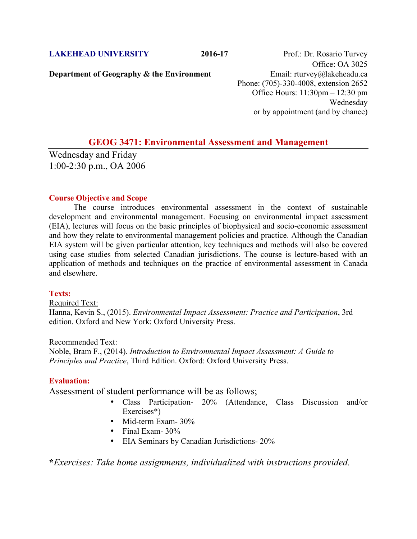**Department of Geography & the Environment** Email: rturvey@lakeheadu.ca

**LAKEHEAD UNIVERSITY** 2016-17 Prof.: Dr. Rosario Turvey Office: OA 3025 Phone: (705)-330-4008, extension 2652 Office Hours: 11:30pm – 12:30 pm Wednesday or by appointment (and by chance)

# **GEOG 3471: Environmental Assessment and Management**

Wednesday and Friday 1:00-2:30 p.m., OA 2006

## **Course Objective and Scope**

The course introduces environmental assessment in the context of sustainable development and environmental management. Focusing on environmental impact assessment (EIA), lectures will focus on the basic principles of biophysical and socio-economic assessment and how they relate to environmental management policies and practice. Although the Canadian EIA system will be given particular attention, key techniques and methods will also be covered using case studies from selected Canadian jurisdictions. The course is lecture-based with an application of methods and techniques on the practice of environmental assessment in Canada and elsewhere.

## **Texts:**

#### Required Text:

Hanna, Kevin S., (2015). *Environmental Impact Assessment: Practice and Participation*, 3rd edition. Oxford and New York: Oxford University Press.

### Recommended Text:

Noble, Bram F., (2014). *Introduction to Environmental Impact Assessment: A Guide to Principles and Practice*, Third Edition. Oxford: Oxford University Press.

## **Evaluation:**

Assessment of student performance will be as follows;

- Class Participation- 20% (Attendance, Class Discussion and/or Exercises\*)
- Mid-term Exam- 30%
- Final Exam- 30%
- EIA Seminars by Canadian Jurisdictions- 20%

**\****Exercises: Take home assignments, individualized with instructions provided.*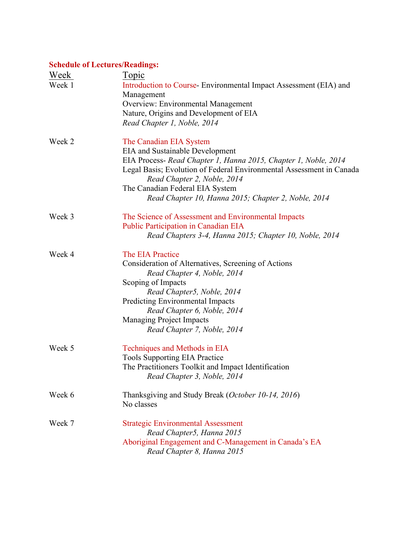# **Schedule of Lectures/Readings:**

| <b>Week</b><br>Week 1 | <u>Topic</u><br>Introduction to Course-Environmental Impact Assessment (EIA) and<br>Management<br><b>Overview: Environmental Management</b><br>Nature, Origins and Development of EIA<br>Read Chapter 1, Noble, 2014                                                                                                                  |
|-----------------------|---------------------------------------------------------------------------------------------------------------------------------------------------------------------------------------------------------------------------------------------------------------------------------------------------------------------------------------|
| Week 2                | The Canadian EIA System<br><b>EIA</b> and Sustainable Development<br>EIA Process- Read Chapter 1, Hanna 2015, Chapter 1, Noble, 2014<br>Legal Basis; Evolution of Federal Environmental Assessment in Canada<br>Read Chapter 2, Noble, 2014<br>The Canadian Federal EIA System<br>Read Chapter 10, Hanna 2015; Chapter 2, Noble, 2014 |
| Week 3                | The Science of Assessment and Environmental Impacts<br>Public Participation in Canadian EIA<br>Read Chapters 3-4, Hanna 2015; Chapter 10, Noble, 2014                                                                                                                                                                                 |
| Week 4                | The EIA Practice<br>Consideration of Alternatives, Screening of Actions<br>Read Chapter 4, Noble, 2014<br>Scoping of Impacts<br>Read Chapter5, Noble, 2014<br>Predicting Environmental Impacts<br>Read Chapter 6, Noble, 2014<br><b>Managing Project Impacts</b><br>Read Chapter 7, Noble, 2014                                       |
| Week 5                | Techniques and Methods in EIA<br><b>Tools Supporting EIA Practice</b><br>The Practitioners Toolkit and Impact Identification<br>Read Chapter 3, Noble, 2014                                                                                                                                                                           |
| Week 6                | Thanksgiving and Study Break (October 10-14, 2016)<br>No classes                                                                                                                                                                                                                                                                      |
| Week 7                | <b>Strategic Environmental Assessment</b><br>Read Chapter5, Hanna 2015<br>Aboriginal Engagement and C-Management in Canada's EA<br>Read Chapter 8, Hanna 2015                                                                                                                                                                         |